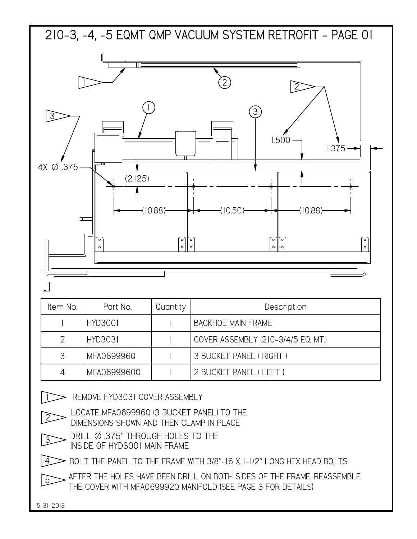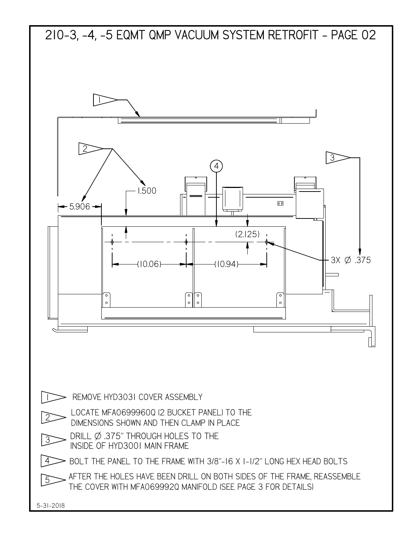